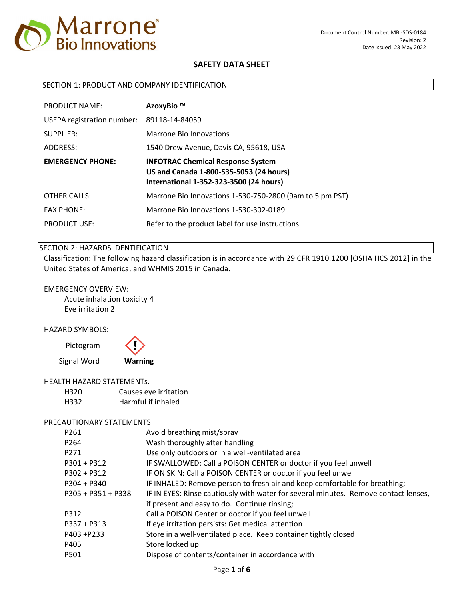

### SECTION 1: PRODUCT AND COMPANY IDENTIFICATION

| <b>PRODUCT NAME:</b>       | AzoxyBio ™                                                                                                                     |
|----------------------------|--------------------------------------------------------------------------------------------------------------------------------|
| USEPA registration number: | 89118-14-84059                                                                                                                 |
| SUPPLIER:                  | Marrone Bio Innovations                                                                                                        |
| ADDRESS:                   | 1540 Drew Avenue, Davis CA, 95618, USA                                                                                         |
| <b>EMERGENCY PHONE:</b>    | <b>INFOTRAC Chemical Response System</b><br>US and Canada 1-800-535-5053 (24 hours)<br>International 1-352-323-3500 (24 hours) |
| <b>OTHER CALLS:</b>        | Marrone Bio Innovations 1-530-750-2800 (9am to 5 pm PST)                                                                       |
| <b>FAX PHONE:</b>          | Marrone Bio Innovations 1-530-302-0189                                                                                         |
| <b>PRODUCT USE:</b>        | Refer to the product label for use instructions.                                                                               |

### SECTION 2: HAZARDS IDENTIFICATION

Classification: The following hazard classification is in accordance with 29 CFR 1910.1200 [OSHA HCS 2012] in the United States of America, and WHMIS 2015 in Canada.

#### EMERGENCY OVERVIEW:

Acute inhalation toxicity 4 Eye irritation 2

#### HAZARD SYMBOLS:

Pictogram



#### HEALTH HAZARD STATEMENTs.

| H320 | Causes eye irritation |
|------|-----------------------|
| H332 | Harmful if inhaled    |

#### PRECAUTIONARY STATEMENTS

| P261                 | Avoid breathing mist/spray                                                          |
|----------------------|-------------------------------------------------------------------------------------|
| P <sub>264</sub>     | Wash thoroughly after handling                                                      |
| P271                 | Use only outdoors or in a well-ventilated area                                      |
| $P301 + P312$        | IF SWALLOWED: Call a POISON CENTER or doctor if you feel unwell                     |
| $P302 + P312$        | IF ON SKIN: Call a POISON CENTER or doctor if you feel unwell                       |
| $P304 + P340$        | IF INHALED: Remove person to fresh air and keep comfortable for breathing;          |
| $P305 + P351 + P338$ | IF IN EYES: Rinse cautiously with water for several minutes. Remove contact lenses, |
|                      | if present and easy to do. Continue rinsing;                                        |
| P312                 | Call a POISON Center or doctor if you feel unwell                                   |
| P337 + P313          | If eye irritation persists: Get medical attention                                   |
| P403 +P233           | Store in a well-ventilated place. Keep container tightly closed                     |
| P405                 | Store locked up                                                                     |
| P501                 | Dispose of contents/container in accordance with                                    |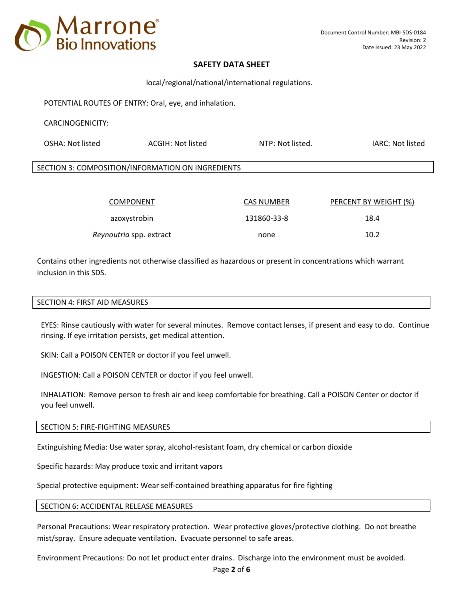

local/regional/national/international regulations.

POTENTIAL ROUTES OF ENTRY: Oral, eye, and inhalation.

### CARCINOGENICITY:

| OSHA: Not listed                                  | ACGIH: Not listed | NTP: Not listed. | IARC: Not listed |
|---------------------------------------------------|-------------------|------------------|------------------|
| SECTION 3: COMPOSITION/INFORMATION ON INGREDIENTS |                   |                  |                  |
|                                                   |                   |                  |                  |

| <b>COMPONENT</b>        | <b>CAS NUMBER</b> | PERCENT BY WEIGHT (%) |
|-------------------------|-------------------|-----------------------|
| azoxystrobin            | 131860-33-8       | 18.4                  |
| Reynoutria spp. extract | none              | 10.2                  |

Contains other ingredients not otherwise classified as hazardous or present in concentrations which warrant inclusion in this SDS.

### SECTION 4: FIRST AID MEASURES

EYES: Rinse cautiously with water for several minutes. Remove contact lenses, if present and easy to do. Continue rinsing. If eye irritation persists, get medical attention.

SKIN: Call a POISON CENTER or doctor if you feel unwell.

INGESTION: Call a POISON CENTER or doctor if you feel unwell.

INHALATION: Remove person to fresh air and keep comfortable for breathing. Call a POISON Center or doctor if you feel unwell.

SECTION 5: FIRE-FIGHTING MEASURES

Extinguishing Media: Use water spray, alcohol-resistant foam, dry chemical or carbon dioxide

Specific hazards: May produce toxic and irritant vapors

Special protective equipment: Wear self-contained breathing apparatus for fire fighting

### SECTION 6: ACCIDENTAL RELEASE MEASURES

Personal Precautions: Wear respiratory protection. Wear protective gloves/protective clothing. Do not breathe mist/spray. Ensure adequate ventilation. Evacuate personnel to safe areas.

Environment Precautions: Do not let product enter drains. Discharge into the environment must be avoided.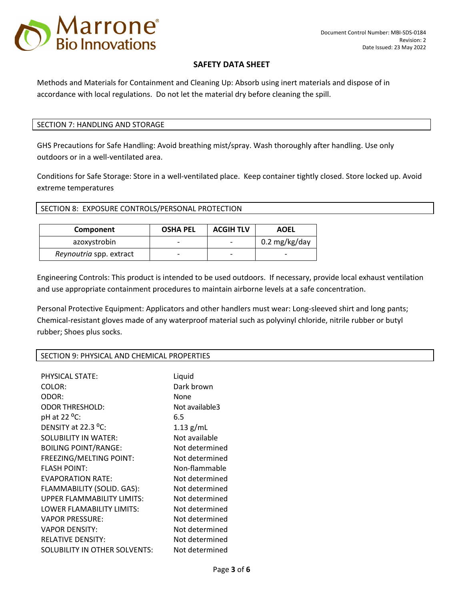

Methods and Materials for Containment and Cleaning Up: Absorb using inert materials and dispose of in accordance with local regulations. Do not let the material dry before cleaning the spill.

## SECTION 7: HANDLING AND STORAGE

GHS Precautions for Safe Handling: Avoid breathing mist/spray. Wash thoroughly after handling. Use only outdoors or in a well-ventilated area.

Conditions for Safe Storage: Store in a well-ventilated place. Keep container tightly closed. Store locked up. Avoid extreme temperatures

SECTION 8: EXPOSURE CONTROLS/PERSONAL PROTECTION

| Component               | <b>OSHA PEL</b>          | <b>ACGIH TLV</b> | <b>AOEL</b>   |
|-------------------------|--------------------------|------------------|---------------|
| azoxystrobin            | $\overline{\phantom{0}}$ | -                | 0.2 mg/kg/day |
| Reynoutria spp. extract | $\overline{\phantom{0}}$ | -                |               |

Engineering Controls: This product is intended to be used outdoors. If necessary, provide local exhaust ventilation and use appropriate containment procedures to maintain airborne levels at a safe concentration.

Personal Protective Equipment: Applicators and other handlers must wear: Long-sleeved shirt and long pants; Chemical-resistant gloves made of any waterproof material such as polyvinyl chloride, nitrile rubber or butyl rubber; Shoes plus socks.

### SECTION 9: PHYSICAL AND CHEMICAL PROPERTIES

| <b>PHYSICAL STATE:</b>        | Liquid         |
|-------------------------------|----------------|
| COLOR:                        | Dark brown     |
| ODOR:                         | None           |
| <b>ODOR THRESHOLD:</b>        | Not available3 |
| pH at 22 °C:                  | 6.5            |
| DENSITY at 22.3 $^{\circ}$ C: | $1.13$ g/mL    |
| SOLUBILITY IN WATER:          | Not available  |
| <b>BOILING POINT/RANGE:</b>   | Not determined |
| FREEZING/MELTING POINT:       | Not determined |
| <b>FLASH POINT:</b>           | Non-flammable  |
| <b>EVAPORATION RATE:</b>      | Not determined |
| FLAMMABILITY (SOLID. GAS):    | Not determined |
| UPPER FLAMMABILITY LIMITS:    | Not determined |
| LOWER FLAMABILITY LIMITS:     | Not determined |
| <b>VAPOR PRESSURE:</b>        | Not determined |
| <b>VAPOR DENSITY:</b>         | Not determined |
| <b>RELATIVE DENSITY:</b>      | Not determined |
| SOLUBILITY IN OTHER SOLVENTS: | Not determined |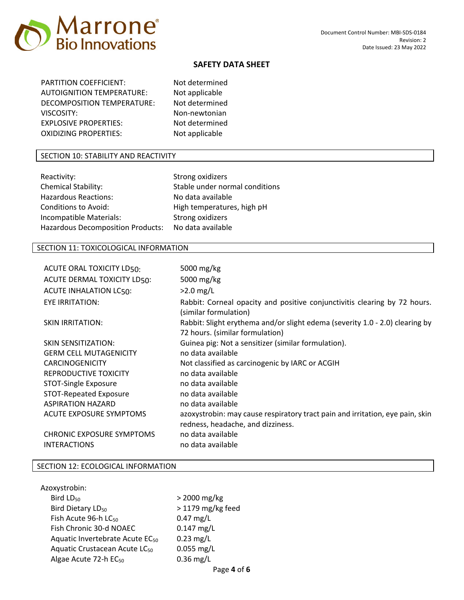

PARTITION COEFFICIENT: Not determined AUTOIGNITION TEMPERATURE: Not applicable DECOMPOSITION TEMPERATURE: Not determined VISCOSITY: Non-newtonian EXPLOSIVE PROPERTIES: Not determined OXIDIZING PROPERTIES: Not applicable

### SECTION 10: STABILITY AND REACTIVITY

| Reactivity:                              | Strong oxidizers               |
|------------------------------------------|--------------------------------|
| <b>Chemical Stability:</b>               | Stable under normal conditions |
| <b>Hazardous Reactions:</b>              | No data available              |
| <b>Conditions to Avoid:</b>              | High temperatures, high pH     |
| Incompatible Materials:                  | Strong oxidizers               |
| <b>Hazardous Decomposition Products:</b> | No data available              |

# SECTION 11: TOXICOLOGICAL INFORMATION

| ACUTE ORAL TOXICITY LD50:        | 5000 mg/kg                                                                                                      |
|----------------------------------|-----------------------------------------------------------------------------------------------------------------|
| ACUTE DERMAL TOXICITY LD50:      | 5000 mg/kg                                                                                                      |
| <b>ACUTE INHALATION LC50:</b>    | $>2.0$ mg/L                                                                                                     |
| EYE IRRITATION:                  | Rabbit: Corneal opacity and positive conjunctivitis clearing by 72 hours.<br>(similar formulation)              |
| <b>SKIN IRRITATION:</b>          | Rabbit: Slight erythema and/or slight edema (severity 1.0 - 2.0) clearing by<br>72 hours. (similar formulation) |
| <b>SKIN SENSITIZATION:</b>       | Guinea pig: Not a sensitizer (similar formulation).                                                             |
| <b>GERM CELL MUTAGENICITY</b>    | no data available                                                                                               |
| <b>CARCINOGENICITY</b>           | Not classified as carcinogenic by IARC or ACGIH                                                                 |
| REPRODUCTIVE TOXICITY            | no data available                                                                                               |
| STOT-Single Exposure             | no data available                                                                                               |
| STOT-Repeated Exposure           | no data available                                                                                               |
| <b>ASPIRATION HAZARD</b>         | no data available                                                                                               |
| ACUTE EXPOSURE SYMPTOMS          | azoxystrobin: may cause respiratory tract pain and irritation, eye pain, skin                                   |
|                                  | redness, headache, and dizziness.                                                                               |
| <b>CHRONIC EXPOSURE SYMPTOMS</b> | no data available                                                                                               |
| <b>INTERACTIONS</b>              | no data available                                                                                               |

### SECTION 12: ECOLOGICAL INFORMATION

| Azoxystrobin:                               |                     |
|---------------------------------------------|---------------------|
| Bird LD <sub>50</sub>                       | $>$ 2000 mg/kg      |
| Bird Dietary LD <sub>50</sub>               | $>$ 1179 mg/kg feed |
| Fish Acute 96-h LC <sub>50</sub>            | $0.47$ mg/L         |
| Fish Chronic 30-d NOAEC                     | $0.147$ mg/L        |
| Aquatic Invertebrate Acute EC <sub>50</sub> | $0.23$ mg/L         |
| Aquatic Crustacean Acute LC <sub>50</sub>   | $0.055$ mg/L        |
| Algae Acute 72-h EC <sub>50</sub>           | $0.36$ mg/L         |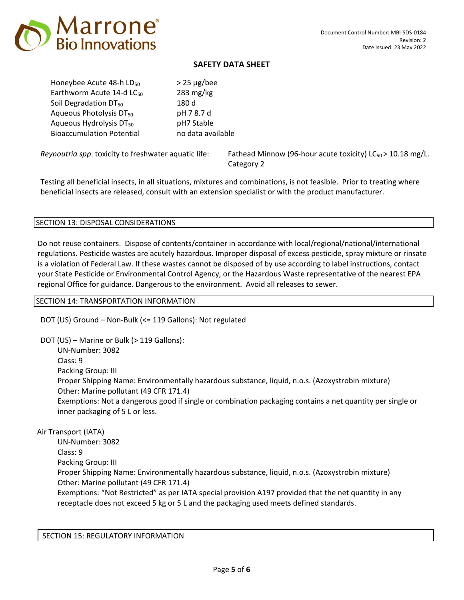

Honeybee Acute 48-h  $LD_{50}$  > 25  $\mu$ g/bee Earthworm Acute 14-d  $LC_{50}$  283 mg/kg Soil Degradation  $DT_{50}$  180 d Aqueous Photolysis DT<sub>50</sub> pH 7 8.7 d Aqueous Hydrolysis  $DT_{50}$  pH7 Stable Bioaccumulation Potential no data available

*Reynoutria spp.* toxicity to freshwater aquatic life: Fathead Minnow (96-hour acute toxicity) LC<sub>50</sub> > 10.18 mg/L. Category 2

Testing all beneficial insects, in all situations, mixtures and combinations, is not feasible. Prior to treating where beneficial insects are released, consult with an extension specialist or with the product manufacturer.

### SECTION 13: DISPOSAL CONSIDERATIONS

Do not reuse containers. Dispose of contents/container in accordance with local/regional/national/international regulations. Pesticide wastes are acutely hazardous. Improper disposal of excess pesticide, spray mixture or rinsate is a violation of Federal Law. If these wastes cannot be disposed of by use according to label instructions, contact your State Pesticide or Environmental Control Agency, or the Hazardous Waste representative of the nearest EPA regional Office for guidance. Dangerous to the environment. Avoid all releases to sewer.

## SECTION 14: TRANSPORTATION INFORMATION

DOT (US) Ground – Non-Bulk (<= 119 Gallons): Not regulated

DOT (US) – Marine or Bulk (> 119 Gallons): UN-Number: 3082 Class: 9 Packing Group: III Proper Shipping Name: Environmentally hazardous substance, liquid, n.o.s. (Azoxystrobin mixture) Other: Marine pollutant (49 CFR 171.4) Exemptions: Not a dangerous good if single or combination packaging contains a net quantity per single or inner packaging of 5 L or less.

Air Transport (IATA)

UN-Number: 3082 Class: 9 Packing Group: III Proper Shipping Name: Environmentally hazardous substance, liquid, n.o.s. (Azoxystrobin mixture) Other: Marine pollutant (49 CFR 171.4) Exemptions: "Not Restricted" as per IATA special provision A197 provided that the net quantity in any receptacle does not exceed 5 kg or 5 L and the packaging used meets defined standards.

SECTION 15: REGULATORY INFORMATION